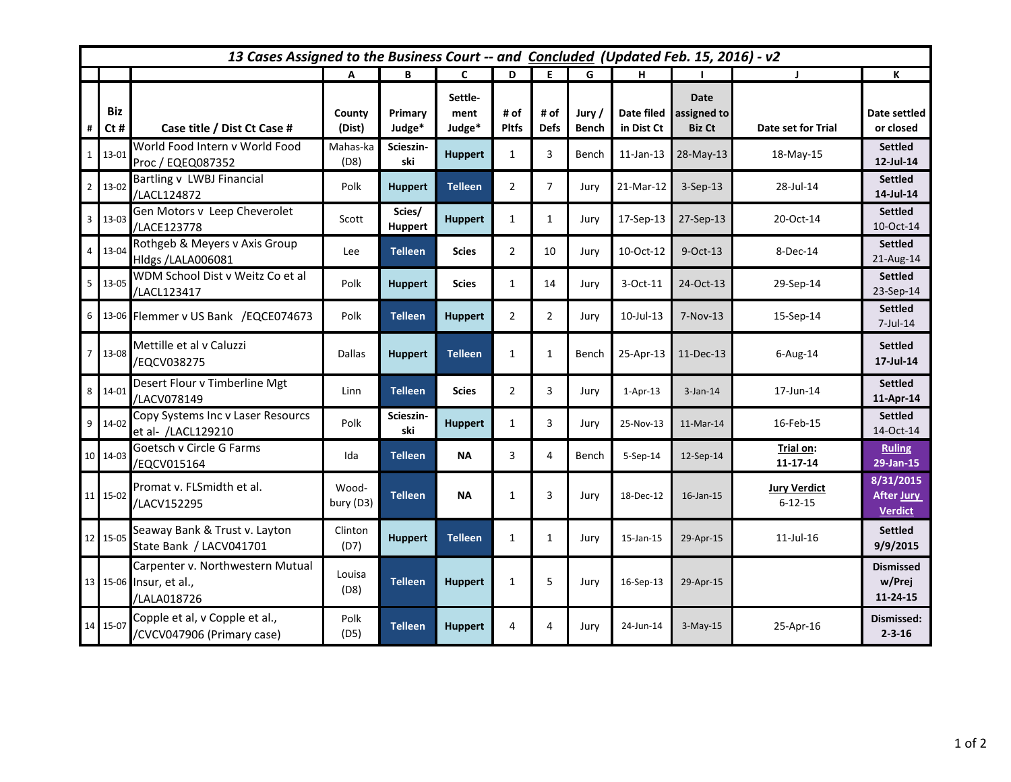|                | 13 Cases Assigned to the Business Court -- and Concluded (Updated Feb. 15, 2016) - v2 |                                                                            |                              |                                |                           |                      |                     |                 |                          |                                      |                                      |                                                  |
|----------------|---------------------------------------------------------------------------------------|----------------------------------------------------------------------------|------------------------------|--------------------------------|---------------------------|----------------------|---------------------|-----------------|--------------------------|--------------------------------------|--------------------------------------|--------------------------------------------------|
|                |                                                                                       |                                                                            | A                            | В                              | C                         | D                    | E                   | G               | н                        |                                      | J.                                   | К                                                |
| #              | Biz<br>$Ct$ #                                                                         | Case title / Dist Ct Case #<br>World Food Intern v World Food              | County<br>(Dist)<br>Mahas-ka | Primary<br>Judge*<br>Scieszin- | Settle-<br>ment<br>Judge* | # of<br><b>Pitfs</b> | # of<br><b>Defs</b> | Jury /<br>Bench | Date filed<br>in Dist Ct | Date<br>assigned to<br><b>Biz Ct</b> | Date set for Trial                   | Date settled<br>or closed<br><b>Settled</b>      |
| $\mathbf{1}$   | $13 - 01$                                                                             | Proc / EQEQ087352                                                          | (D8)                         | ski                            | <b>Huppert</b>            | 1                    | 3                   | Bench           | $11$ -Jan-13             | 28-May-13                            | 18-May-15                            | 12-Jul-14                                        |
| 2 <sup>1</sup> | 13-02                                                                                 | Bartling v LWBJ Financial<br>/LACL124872                                   | Polk                         | <b>Huppert</b>                 | <b>Telleen</b>            | $\overline{2}$       | $\overline{7}$      | Jury            | $21-Mar-12$              | $3-Sep-13$                           | 28-Jul-14                            | <b>Settled</b><br>14-Jul-14                      |
|                | $3 \overline{)13-03}$                                                                 | Gen Motors v Leep Cheverolet<br>/LACE123778                                | Scott                        | Scies/<br><b>Huppert</b>       | <b>Huppert</b>            | $\mathbf{1}$         | $\mathbf{1}$        | Jury            | 17-Sep-13                | 27-Sep-13                            | 20-Oct-14                            | <b>Settled</b><br>10-Oct-14                      |
|                | 4 13-04                                                                               | Rothgeb & Meyers v Axis Group<br>Hldgs /LALA006081                         | Lee                          | <b>Telleen</b>                 | <b>Scies</b>              | $\overline{2}$       | 10                  | Jury            | 10-Oct-12                | 9-Oct-13                             | 8-Dec-14                             | <b>Settled</b><br>21-Aug-14                      |
|                | $5 \overline{)13-05}$                                                                 | WDM School Dist v Weitz Co et al<br>/LACL123417                            | Polk                         | <b>Huppert</b>                 | <b>Scies</b>              | $\mathbf{1}$         | 14                  | Jury            | 3-Oct-11                 | 24-Oct-13                            | 29-Sep-14                            | <b>Settled</b><br>23-Sep-14                      |
| $6\phantom{a}$ |                                                                                       | 13-06 Flemmer v US Bank / EQCE074673                                       | Polk                         | <b>Telleen</b>                 | <b>Huppert</b>            | $\overline{2}$       | $\overline{2}$      | Jury            | $10$ -Jul- $13$          | 7-Nov-13                             | 15-Sep-14                            | <b>Settled</b><br>7-Jul-14                       |
| $\overline{7}$ | 13-08                                                                                 | Mettille et al v Caluzzi<br>/EQCV038275                                    | <b>Dallas</b>                | <b>Huppert</b>                 | <b>Telleen</b>            | $\mathbf{1}$         | $\mathbf{1}$        | Bench           | 25-Apr-13                | 11-Dec-13                            | $6$ -Aug-14                          | <b>Settled</b><br>17-Jul-14                      |
| 8 <sup>1</sup> | 14-01                                                                                 | Desert Flour v Timberline Mgt<br>/LACV078149                               | Linn                         | <b>Telleen</b>                 | <b>Scies</b>              | $\overline{2}$       | 3                   | Jury            | $1-Apr-13$               | $3$ -Jan-14                          | 17-Jun-14                            | <b>Settled</b><br>11-Apr-14                      |
|                | $9 \t14-02$                                                                           | Copy Systems Inc v Laser Resourcs<br>et al- /LACL129210                    | Polk                         | Scieszin-<br>ski               | <b>Huppert</b>            | $\mathbf{1}$         | 3                   | Jury            | 25-Nov-13                | 11-Mar-14                            | 16-Feb-15                            | <b>Settled</b><br>14-Oct-14                      |
|                | 10 14-03                                                                              | Goetsch v Circle G Farms<br>/EQCV015164                                    | Ida                          | <b>Telleen</b>                 | <b>NA</b>                 | 3                    | 4                   | Bench           | 5-Sep-14                 | 12-Sep-14                            | Trial on:<br>11-17-14                | <b>Ruling</b><br>29-Jan-15                       |
|                | 11 15-02                                                                              | Promat v. FLSmidth et al.<br>/LACV152295                                   | Wood-<br>bury (D3)           | <b>Telleen</b>                 | <b>NA</b>                 | 1                    | 3                   | Jury            | 18-Dec-12                | 16-Jan-15                            | <b>Jury Verdict</b><br>$6 - 12 - 15$ | 8/31/2015<br><b>After Jury</b><br><b>Verdict</b> |
|                | 12 15-05                                                                              | Seaway Bank & Trust v. Layton<br>State Bank / LACV041701                   | Clinton<br>(D7)              | <b>Huppert</b>                 | <b>Telleen</b>            | $\mathbf{1}$         | $\mathbf{1}$        | Jury            | 15-Jan-15                | 29-Apr-15                            | $11$ -Jul- $16$                      | <b>Settled</b><br>9/9/2015                       |
|                |                                                                                       | Carpenter v. Northwestern Mutual<br>13 15-06 Insur, et al.,<br>/LALA018726 | Louisa<br>(D8)               | <b>Telleen</b>                 | <b>Huppert</b>            | 1                    | 5                   | Jury            | 16-Sep-13                | 29-Apr-15                            |                                      | <b>Dismissed</b><br>w/Prei<br>11-24-15           |
|                | 14 15-07                                                                              | Copple et al, v Copple et al.,<br>/CVCV047906 (Primary case)               | Polk<br>(D5)                 | <b>Telleen</b>                 | <b>Huppert</b>            | 4                    | 4                   | Jury            | 24-Jun-14                | $3-May-15$                           | 25-Apr-16                            | Dismissed:<br>$2 - 3 - 16$                       |